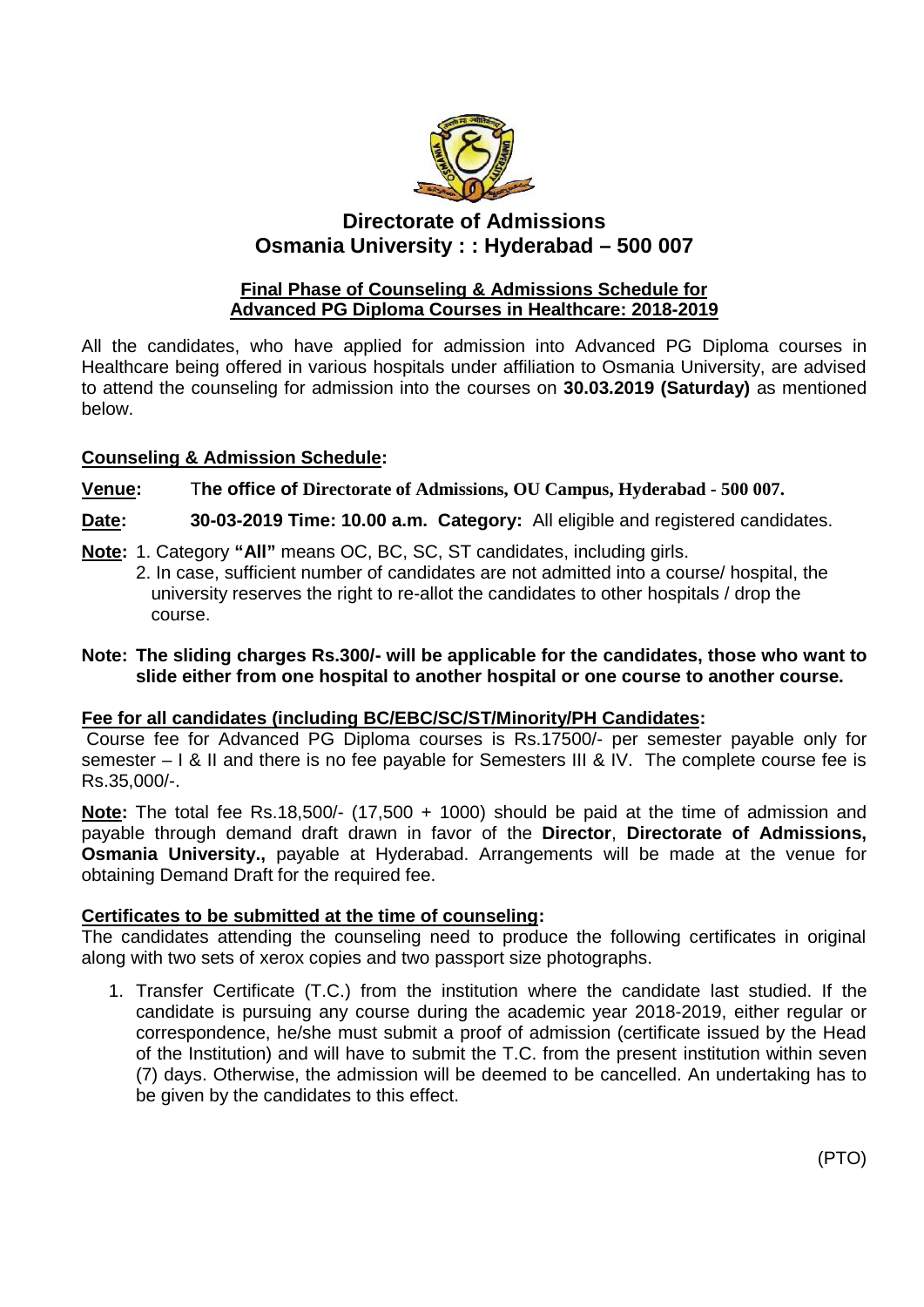

# **Directorate of Admissions Osmania University : : Hyderabad – 500 007**

### **Final Phase of Counseling & Admissions Schedule for Advanced PG Diploma Courses in Healthcare: 2018-2019**

All the candidates, who have applied for admission into Advanced PG Diploma courses in Healthcare being offered in various hospitals under affiliation to Osmania University, are advised to attend the counseling for admission into the courses on **30.03.2019 (Saturday)** as mentioned below.

## **Counseling & Admission Schedule:**

## **Venue:** T**he office of Directorate of Admissions, OU Campus, Hyderabad - 500 007.**

**Date: 30-03-2019 Time: 10.00 a.m. Category:** All eligible and registered candidates.

- **Note:** 1. Category **"All"** means OC, BC, SC, ST candidates, including girls.
	- 2. In case, sufficient number of candidates are not admitted into a course/ hospital, the university reserves the right to re-allot the candidates to other hospitals / drop the course.

### **Note: The sliding charges Rs.300/- will be applicable for the candidates, those who want to slide either from one hospital to another hospital or one course to another course.**

## **Fee for all candidates (including BC/EBC/SC/ST/Minority/PH Candidates:**

Course fee for Advanced PG Diploma courses is Rs.17500/- per semester payable only for semester – I & II and there is no fee payable for Semesters III & IV. The complete course fee is Rs.35,000/-.

**Note:** The total fee Rs.18,500/- (17,500 + 1000) should be paid at the time of admission and payable through demand draft drawn in favor of the **Director**, **Directorate of Admissions, Osmania University.,** payable at Hyderabad. Arrangements will be made at the venue for obtaining Demand Draft for the required fee.

# **Certificates to be submitted at the time of counseling:**

The candidates attending the counseling need to produce the following certificates in original along with two sets of xerox copies and two passport size photographs.

1. Transfer Certificate (T.C.) from the institution where the candidate last studied. If the candidate is pursuing any course during the academic year 2018-2019, either regular or correspondence, he/she must submit a proof of admission (certificate issued by the Head of the Institution) and will have to submit the T.C. from the present institution within seven (7) days. Otherwise, the admission will be deemed to be cancelled. An undertaking has to be given by the candidates to this effect.